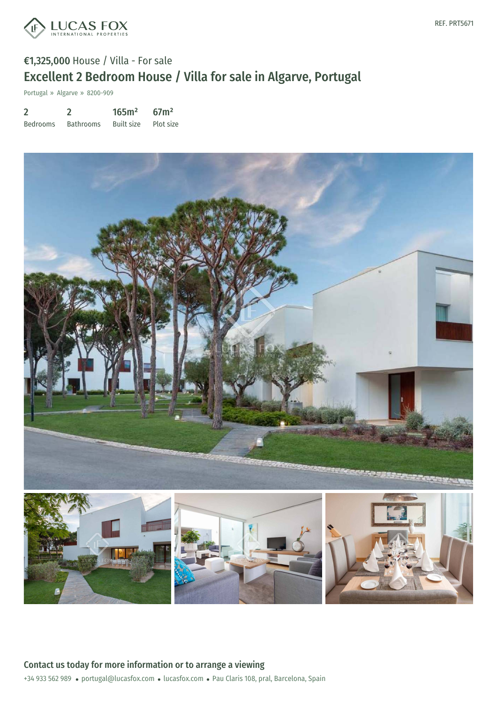

# €1,325,000 House / Villa - For sale Excellent 2 Bedroom House / Villa for sale in Algarve, Portugal

Portugal » Algarve » 8200-909

| $\overline{2}$  |                  | 165m <sup>2</sup> | 67 <sup>2</sup> |
|-----------------|------------------|-------------------|-----------------|
| <b>Bedrooms</b> | <b>Bathrooms</b> | Built size        | Plot size       |





+34 933 562 989 · portugal@lucasfox.com · lucasfox.com · Pau Claris 108, pral, Barcelona, Spain Contact us today for more information or to arrange a viewing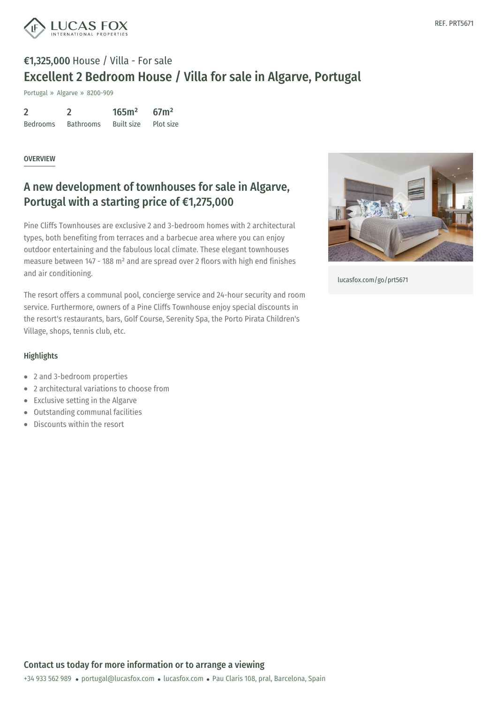

# €1,325,000 House / Villa - For sale Excellent 2 Bedroom House / Villa for sale in Algarve, Portugal

Portugal » Algarve » 8200-909

| $\overline{2}$  |                  | 165m <sup>2</sup> | 67 <sup>2</sup> |
|-----------------|------------------|-------------------|-----------------|
| <b>Bedrooms</b> | <b>Bathrooms</b> | <b>Built size</b> | Plot size       |

#### OVERVIEW

### A new development of townhouses for sale in Algarve, Portugal with a starting price of €1,275,000

Pine Cliffs Townhouses are exclusive 2 and 3-bedroom homes with 2 architectural types, both benefiting from terraces and a barbecue area where you can enjoy outdoor entertaining and the fabulous local climate. These elegant townhouses measure between 147 - 188 m² and are spread over 2 floors with high end finishes and air conditioning.

The resort offers a communal pool, concierge service and 24-hour security and room service. Furthermore, owners of a Pine Cliffs Townhouse enjoy special discounts in the resort's restaurants, bars, Golf Course, Serenity Spa, the Porto Pirata Children's Village, shops, tennis club, etc.



[lucasfox.com/go/prt5671](https://www.lucasfox.com/go/prt5671)

### **Highlights**

- 2 and 3-bedroom properties
- 2 architectural variations to choose from
- Exclusive setting in the Algarve  $\bullet$
- Outstanding communal facilities  $\bullet$
- Discounts within the resort